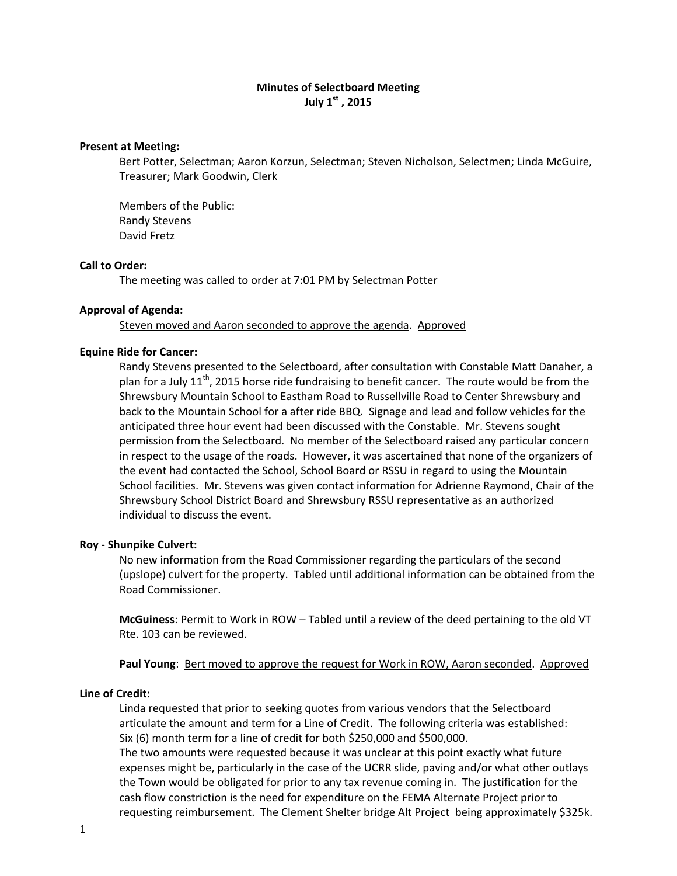# **Minutes of Selectboard Meeting July 1st , 2015**

### **Present at Meeting:**

Bert Potter, Selectman; Aaron Korzun, Selectman; Steven Nicholson, Selectmen; Linda McGuire, Treasurer; Mark Goodwin, Clerk

Members of the Public: Randy Stevens David Fretz

#### **Call to Order:**

The meeting was called to order at 7:01 PM by Selectman Potter

### **Approval of Agenda:**

Steven moved and Aaron seconded to approve the agenda. Approved

### **Equine Ride for Cancer:**

Randy Stevens presented to the Selectboard, after consultation with Constable Matt Danaher, a plan for a July 11<sup>th</sup>, 2015 horse ride fundraising to benefit cancer. The route would be from the Shrewsbury Mountain School to Eastham Road to Russellville Road to Center Shrewsbury and back to the Mountain School for a after ride BBQ. Signage and lead and follow vehicles for the anticipated three hour event had been discussed with the Constable. Mr. Stevens sought permission from the Selectboard. No member of the Selectboard raised any particular concern in respect to the usage of the roads. However, it was ascertained that none of the organizers of the event had contacted the School, School Board or RSSU in regard to using the Mountain School facilities. Mr. Stevens was given contact information for Adrienne Raymond, Chair of the Shrewsbury School District Board and Shrewsbury RSSU representative as an authorized individual to discuss the event.

#### **Roy ‐ Shunpike Culvert:**

No new information from the Road Commissioner regarding the particulars of the second (upslope) culvert for the property. Tabled until additional information can be obtained from the Road Commissioner.

**McGuiness**: Permit to Work in ROW – Tabled until a review of the deed pertaining to the old VT Rte. 103 can be reviewed.

**Paul Young:** Bert moved to approve the request for Work in ROW, Aaron seconded. Approved

#### **Line of Credit:**

Linda requested that prior to seeking quotes from various vendors that the Selectboard articulate the amount and term for a Line of Credit. The following criteria was established: Six (6) month term for a line of credit for both \$250,000 and \$500,000.

The two amounts were requested because it was unclear at this point exactly what future expenses might be, particularly in the case of the UCRR slide, paving and/or what other outlays the Town would be obligated for prior to any tax revenue coming in. The justification for the cash flow constriction is the need for expenditure on the FEMA Alternate Project prior to requesting reimbursement. The Clement Shelter bridge Alt Project being approximately \$325k.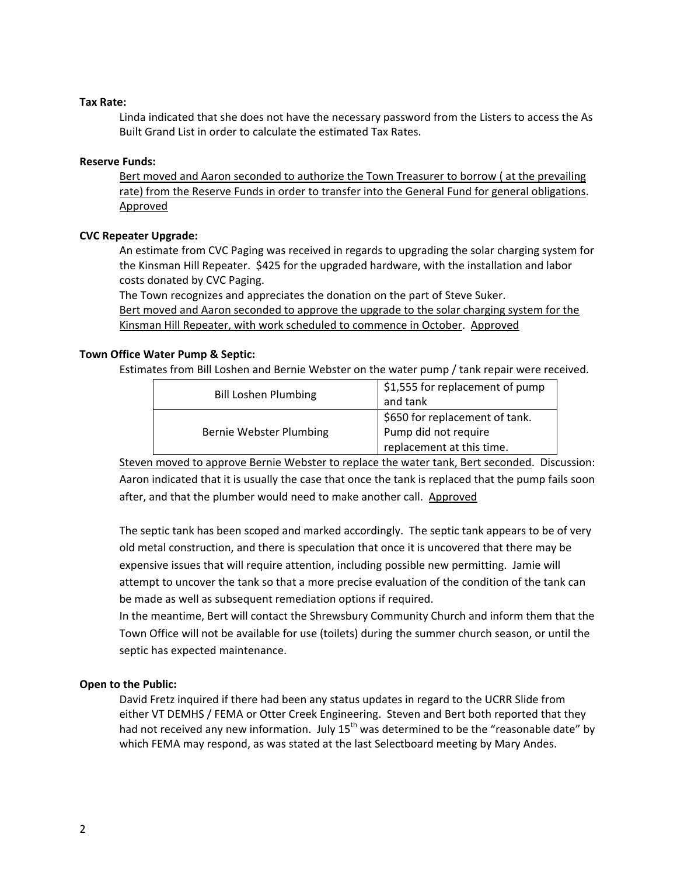## **Tax Rate:**

Linda indicated that she does not have the necessary password from the Listers to access the As Built Grand List in order to calculate the estimated Tax Rates.

## **Reserve Funds:**

Bert moved and Aaron seconded to authorize the Town Treasurer to borrow ( at the prevailing rate) from the Reserve Funds in order to transfer into the General Fund for general obligations. Approved

## **CVC Repeater Upgrade:**

An estimate from CVC Paging was received in regards to upgrading the solar charging system for the Kinsman Hill Repeater. \$425 for the upgraded hardware, with the installation and labor costs donated by CVC Paging.

The Town recognizes and appreciates the donation on the part of Steve Suker. Bert moved and Aaron seconded to approve the upgrade to the solar charging system for the Kinsman Hill Repeater, with work scheduled to commence in October. Approved

## **Town Office Water Pump & Septic:**

Estimates from Bill Loshen and Bernie Webster on the water pump / tank repair were received.

| <b>Bill Loshen Plumbing</b> | \$1,555 for replacement of pump<br>and tank                                         |
|-----------------------------|-------------------------------------------------------------------------------------|
| Bernie Webster Plumbing     | \$650 for replacement of tank.<br>Pump did not require<br>replacement at this time. |

Steven moved to approve Bernie Webster to replace the water tank, Bert seconded. Discussion: Aaron indicated that it is usually the case that once the tank is replaced that the pump fails soon after, and that the plumber would need to make another call. Approved

The septic tank has been scoped and marked accordingly. The septic tank appears to be of very old metal construction, and there is speculation that once it is uncovered that there may be expensive issues that will require attention, including possible new permitting. Jamie will attempt to uncover the tank so that a more precise evaluation of the condition of the tank can be made as well as subsequent remediation options if required.

In the meantime, Bert will contact the Shrewsbury Community Church and inform them that the Town Office will not be available for use (toilets) during the summer church season, or until the septic has expected maintenance.

# **Open to the Public:**

David Fretz inquired if there had been any status updates in regard to the UCRR Slide from either VT DEMHS / FEMA or Otter Creek Engineering. Steven and Bert both reported that they had not received any new information. July  $15<sup>th</sup>$  was determined to be the "reasonable date" by which FEMA may respond, as was stated at the last Selectboard meeting by Mary Andes.